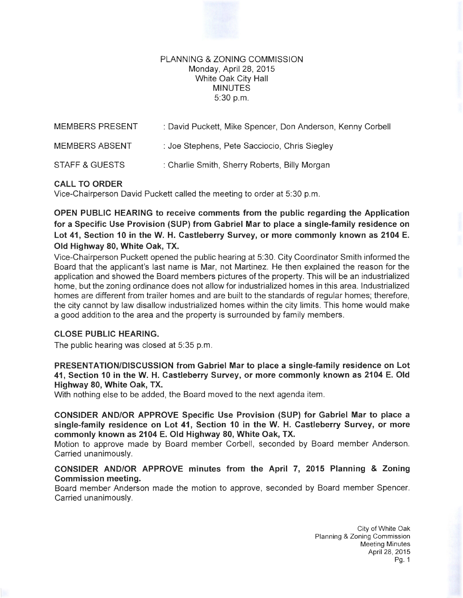### PLANNING & ZONING COMMISSION Monday, April28, 2015 White Oak City Hall MINUTES 5:30p.m.

| MEMBERS PRESENT       | : David Puckett, Mike Spencer, Don Anderson, Kenny Corbell |
|-----------------------|------------------------------------------------------------|
| <b>MEMBERS ABSENT</b> | : Joe Stephens, Pete Sacciocio, Chris Siegley              |
| STAFF & GUESTS        | : Charlie Smith, Sherry Roberts, Billy Morgan              |

# **CALL TO ORDER**

Vice-Chairperson David Puckett called the meeting to order at 5:30 p.m.

**OPEN PUBLIC HEARING to receive comments from the public regarding the Application for a Specific Use Provision (SUP) from Gabriel Mar to place a single-family residence on**  Lot 41, Section 10 in the W. H. Castleberry Survey, or more commonly known as 2104 E. **Old Highway 80, White Oak, TX.** 

Vice-Chairperson Puckett opened the public hearing at 5:30. City Coordinator Smith informed the Board that the applicant's last name is Mar, not Martinez. He then explained the reason for the application and showed the Board members pictures of the property. This will be an industrialized home, but the zoning ordinance does not allow for industrialized homes in this area. Industrialized homes are different from trailer homes and are built to the standards of regular homes; therefore, the city cannot by law disallow industrialized homes within the city limits. This home would make a good addition to the area and the property is surrounded by family members.

# **CLOSE PUBLIC HEARING.**

The public hearing was closed at 5:35 p.m.

**PRESENTATION/DISCUSSION from Gabriel Mar to place a single-family residence on Lot 41, Section 10 in theW. H. Castleberry Survey, or more commonly known as 2104 E. Old Highway 80, White Oak, TX.** 

With nothing else to be added, the Board moved to the next agenda item.

**CONSIDER AND/OR APPROVE Specific Use Provision (SUP) for Gabriel Mar to place a single-family residence on Lot 41, Section 10 in theW. H. Castleberry Survey, or more commonly known as 2104 E. Old Highway 80, White Oak, TX.** 

Motion to approve made by Board member Corbell, seconded by Board member Anderson. Carried unanimously.

# **CONSIDER AND/OR APPROVE minutes from the April 7, 2015 Planning & Zoning Commission meeting.**

Board member Anderson made the motion to approve, seconded by Board member Spencer. Carried unanimously.

> City of White Oak Planning & Zoning Commission Meeting Minutes April28, 2015 Pg. 1